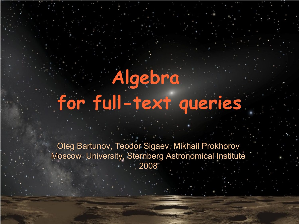# **Algebra for full-text queries**

Oleg Bartunov, Teodor Sigaev, Mikhail Prokhorov Moscow University, Sternberg Astronomical Institute 2008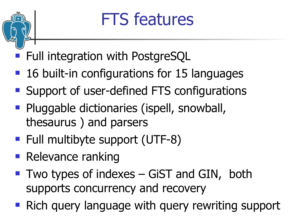

# FTS features

- Full integration with PostgreSQL
- 16 built-in configurations for 15 languages
- Support of user-defined FTS configurations
- Pluggable dictionaries (ispell, snowball, thesaurus ) and parsers
- Full multibyte support (UTF-8)
- **Relevance ranking**
- $\blacksquare$  Two types of indexes GiST and GIN, both supports concurrency and recovery
- **Rich query language with query rewriting support**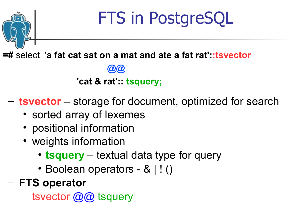# FTS in PostgreSQL

**=#** select'**a fat cat sat on a mat and ate a fat rat'::tsvector**

 **'cat & rat':: tsquery;**

 **@@**

- **tsvector** storage for document, optimized for search
	- sorted array of lexemes
	- positional information
	- weights information
		- **tsquery** textual data type for query
		- Boolean operators & | ! ()
- **FTS operator**

tsvector @@ tsquery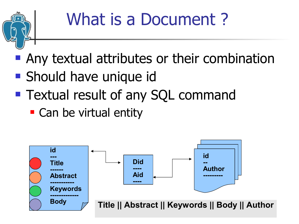

- **Any textual attributes or their combination**
- **Should have unique id**
- **Textual result of any SQL command** 
	- Can be virtual entity

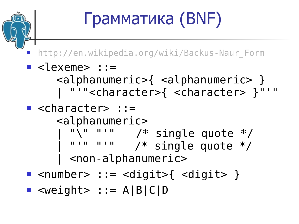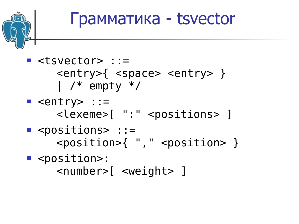#### Грамматика - tsvector

#### $\blacksquare$  <tsvector> ::= <entry>{ <space> <entry> }  $\mid$  /\* empty \*/  $\blacksquare$  <entry> ::= <lexeme>[ ":" <positions> ]  $\blacksquare$  <positions> ::= <position>{ "," <position> } ■ <position>: <number>[ <weight> ]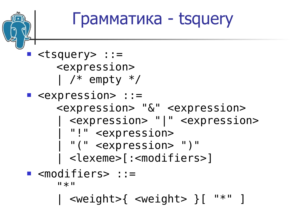Грамматика - tsquery **E** <tsquery> ::= <expression>  $\mid$  /\* empty \*/  $\blacksquare$  <expression> ::= <expression> "&" <expression> | <expression> "|" <expression> | "!" <expression> | "(" <expression> ")" | <lexeme>[:<modifiers>] <modifiers> ::=  $"$ | <weight>{ <weight> }[ "\*" ]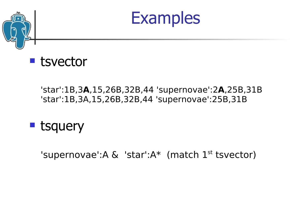





#### 'star':1B,3**A**,15,26B,32B,44 'supernovae':2**A**,25B,31B 'star':1B,3A,15,26B,32B,44 'supernovae':25B,31B



'supernovae':A  $\&$  'star':A\* (match  $1^{st}$  tsvector)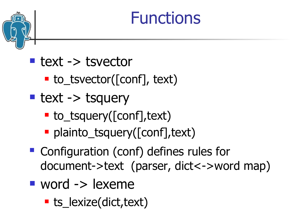#### Functions

- text -> tsvector
	- $\blacksquare$  to\_tsvector([conf], text)
- $\blacksquare$  text -> tsquery
	- to\_tsquery([conf], text)
	- plainto\_tsquery([conf], text)
- Configuration (conf) defines rules for document->text (parser, dict<->word map)
- $\blacksquare$  word  $\lightharpoonup$  lexeme
	- **ts\_lexize(dict,text)**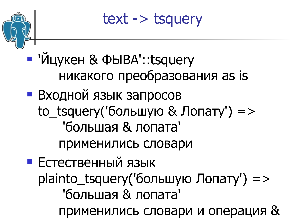

text -> tsquery

 'Йцукен & ФЫВА'::tsquery никакого преобразования as is

 Входной язык запросов to\_tsquery('большую & Лопату') => 'большая & лопата' применились словари

 Естественный язык plainto\_tsquery('большую Лопату')  $\Rightarrow$  'большая & лопата' применились словари и операция &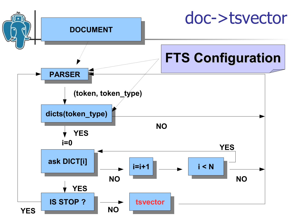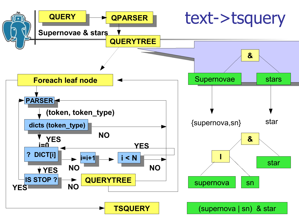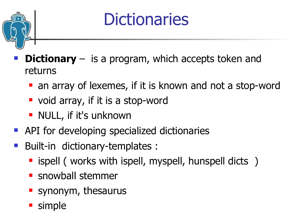

#### **Dictionaries**

- **Dictionary** is a program, which accepts token and returns
	- **an array of lexemes, if it is known and not a stop-word**
	- **void array, if it is a stop-word**
	- **NULL, if it's unknown**
- **API** for developing specialized dictionaries
- Built-in dictionary-templates :
	- **E** ispell ( works with ispell, myspell, hunspell dicts )
	- **snowball stemmer**
	- **Synonym**, thesaurus
	- **simple**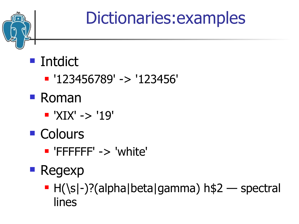

# Dictionaries:examples

#### **Intdict**

- '123456789' -> '123456'
- Roman
	- $\blacksquare$  'XIX' -> '19'
- Colours
	- 'FFFFFF' -> 'white'
- **Regexp** 
	- $\blacksquare$  H(\s|-)?(alpha|beta|gamma) h\$2 spectral lines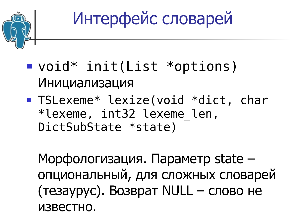

Интерфейс словарей

- void\* init(List \*options) Инициализация
- **TSLexeme\* lexize(void \*dict, chare** \*lexeme, int32 lexeme\_len, DictSubState \*state)

Морфологизация. Параметр state – опциональный, для сложных словарей (тезаурус). Возврат NULL – слово не известно.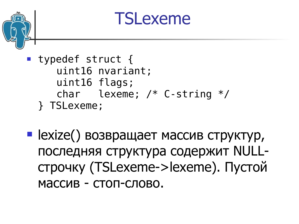

**• lexize() возвращает массив структур,** последняя структура содержит NULLстрочку (TSLexeme->lexeme). Пустой массив - стоп-слово.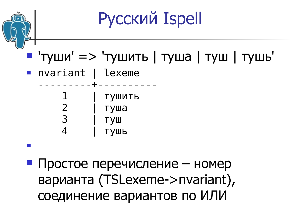

 Простое перечисление – номер варианта (TSLexeme->nvariant), соединение вариантов по ИЛИ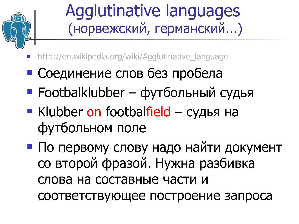

#### Agglutinative languages (норвежский, германский...)

- http://en.wikipedia.org/wiki/Agglutinative\_language
- Соединение слов без пробела
- $\blacksquare$  Footbalklubber футбольный судья
- **Klubber on footbalfield судья на** футбольном поле
- По первому слову надо найти документ со второй фразой. Нужна разбивка слова на составные части и соответствующее построение запроса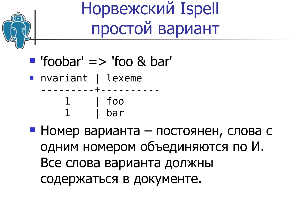

#### Норвежский Ispell простой вариант

- $\blacksquare$  'foobar' => 'foo & bar'
- nvariant | lexeme
	- ---------+---------- 1 | foo bar
- Номер варианта постоянен, слова с одним номером объединяются по И. Все слова варианта должны содержаться в документе.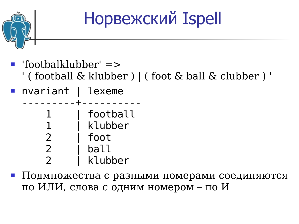

# Норвежский Ispell

- 'footbalklubber' =>
	- ' ( football & klubber ) | ( foot & ball & clubber ) '
- nvariant | lexeme

---------+--------- football klubber foot

- 2 | ball
- klubber
- Подмножества с разными номерами соединяются по ИЛИ, слова с одним номером – по И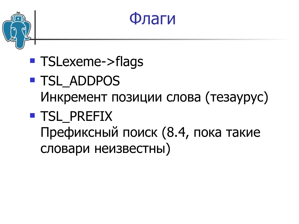



- **TSLexeme->flags**
- **TSL ADDPOS** Инкремент позиции слова (тезаурус)
- **TSL PREFIX** 
	- Префиксный поиск (8.4, пока такие словари неизвестны)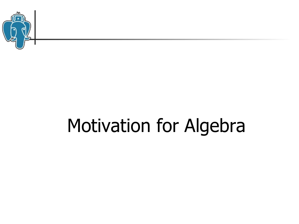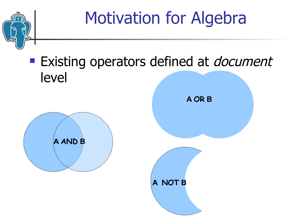

#### **Existing operators defined at** *document* level



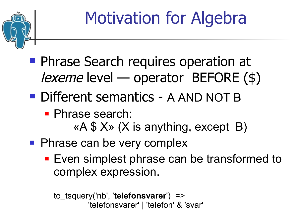

- **Phrase Search requires operation at** *lexeme* level — operator BEFORE  $(\$)$
- **Different semantics A AND NOT B** 
	- **Phrase search:** 
		- «A \$ X» (X is anything, except B)
- **Phrase can be very complex** 
	- **Even simplest phrase can be transformed to** complex expression.

```
to_tsquery('nb', 'telefonsvarer') => 
          'telefonsvarer' | 'telefon' & 'svar'
```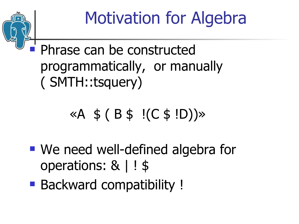

#### Phrase can be constructed programmatically, or manually ( SMTH::tsquery)

#### $\,\,\times A \,\,\$$  ( B  $\,\$$  !(C  $\,\$$  !D)) $\,\times$

- We need well-defined algebra for operations: & | ! \$
- **Backward compatibility!**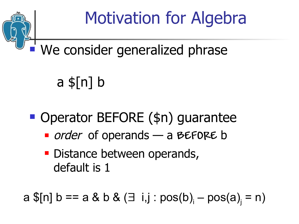

#### We consider generalized phrase

a \$[n] b

**Operator BEFORE (\$n) guarantee** 

- order of operands a **BEFORE** b
- **Distance between operands,** default is 1

 $a \$[n] b == a \& b \& (\exists i, j : pos(b)_i - pos(a)_j = n)$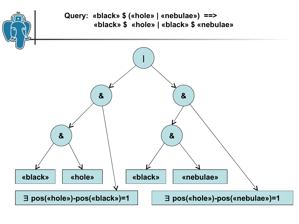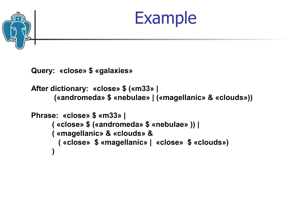



**Query: «close» \$ «galaxies»**

```
After dictionary: «close» $ («m33» | 
      («andromeda» $ «nebulae» | («magellanic» & «clouds»))
```

```
Phrase: «close» $ «m33» | 
     ( «close» $ («andromeda» $ «nebulae» )) |
     ( «magellanic» & «clouds» & 
       ( «close» $ «magellanic» | «close» $ «clouds»)
)
```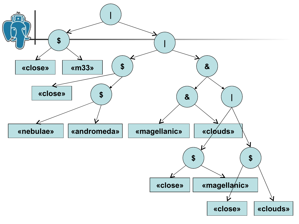